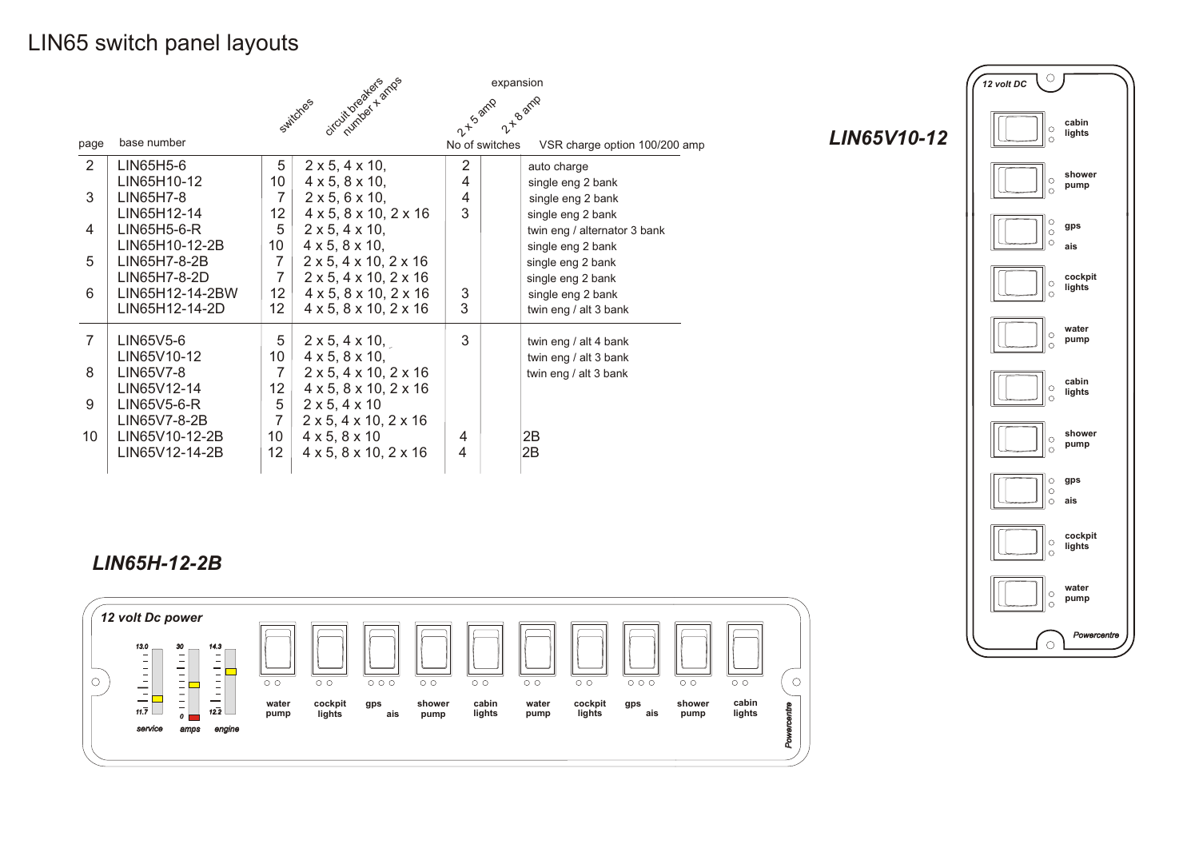### LIN65 switch panel layouts

|                |                 | expansion                                                |                                              |                |                               |
|----------------|-----------------|----------------------------------------------------------|----------------------------------------------|----------------|-------------------------------|
|                |                 | circuitoriale famos<br>2 T B amp<br>2-15 amp<br>Switches |                                              |                |                               |
|                |                 |                                                          |                                              |                |                               |
| page           | base number     |                                                          |                                              | No of switches | VSR charge option 100/200 amp |
| $\overline{2}$ | LIN65H5-6       | 5                                                        | $2 \times 5$ , $4 \times 10$ ,               | 2              | auto charge                   |
|                | LIN65H10-12     | 10 <sup>°</sup>                                          | $4 \times 5$ , $8 \times 10$ ,               | 4              | single eng 2 bank             |
| 3              | LIN65H7-8       | 7                                                        | $2 \times 5$ , 6 $\times$ 10,                | 4              | single eng 2 bank             |
|                | LIN65H12-14     | 12                                                       | $4 \times 5$ , $8 \times 10$ , $2 \times 16$ | 3              | single eng 2 bank             |
| 4              | LIN65H5-6-R     | 5                                                        | $2 \times 5$ , $4 \times 10$ ,               |                | twin eng / alternator 3 bank  |
|                | LIN65H10-12-2B  | 10 <sup>°</sup>                                          | $4 \times 5$ , $8 \times 10$ ,               |                | single eng 2 bank             |
| 5              | LIN65H7-8-2B    | 7                                                        | $2 \times 5$ , $4 \times 10$ , $2 \times 16$ |                | single eng 2 bank             |
|                | LIN65H7-8-2D    | 7                                                        | $2 \times 5$ , $4 \times 10$ , $2 \times 16$ |                | single eng 2 bank             |
| 6              | LIN65H12-14-2BW | 12                                                       | $4 \times 5$ , $8 \times 10$ , $2 \times 16$ | 3              | single eng 2 bank             |
|                | LIN65H12-14-2D  | 12                                                       | $4 \times 5$ , $8 \times 10$ , $2 \times 16$ | 3              | twin eng / alt 3 bank         |
| 7              | LIN65V5-6       | 5                                                        | $2 \times 5, 4 \times 10,$                   | 3              | twin eng / alt 4 bank         |
|                | LIN65V10-12     | 10 <sup>°</sup>                                          | $4 \times 5$ , $8 \times 10$ ,               |                | twin eng / alt 3 bank         |
| 8              | LIN65V7-8       | 7                                                        | $2 \times 5$ , $4 \times 10$ , $2 \times 16$ |                | twin eng / alt 3 bank         |
|                | LIN65V12-14     | 12                                                       | $4 \times 5$ , $8 \times 10$ , $2 \times 16$ |                |                               |
| 9              | LIN65V5-6-R     | 5                                                        | $2 \times 5, 4 \times 10$                    |                |                               |
|                | LIN65V7-8-2B    | 7                                                        | $2 \times 5$ , $4 \times 10$ , $2 \times 16$ |                |                               |
| 10             | LIN65V10-12-2B  | 10 <sup>°</sup>                                          | $4 \times 5, 8 \times 10$                    | 4              | 2B                            |
|                | LIN65V12-14-2B  | 12                                                       | $4 \times 5$ , $8 \times 10$ , $2 \times 16$ | 4              | 2B                            |
|                |                 |                                                          |                                              |                |                               |

 $\overline{\mathcal{C}}$ *12 volt DC* **cabin lights**  $\mathbb{R}$ **shower pump**  $\parallel_{\circ}$  $\| \circ$ **gps ais cockpit lights**  $\circ$  $\circ$ **water**  $\overline{\circ}$ **pump**  $\circ$ **cabin lights**  $\parallel_{\circ}$ **shower** ا ه **pump** l o **gps ais cockpit lights**  $\parallel_{\circ}$ **water pump**  $\parallel$   $\circ$ *Powercentre*  $\circ$ 

*LIN65V10-12*

### *LIN65H-12-2B*

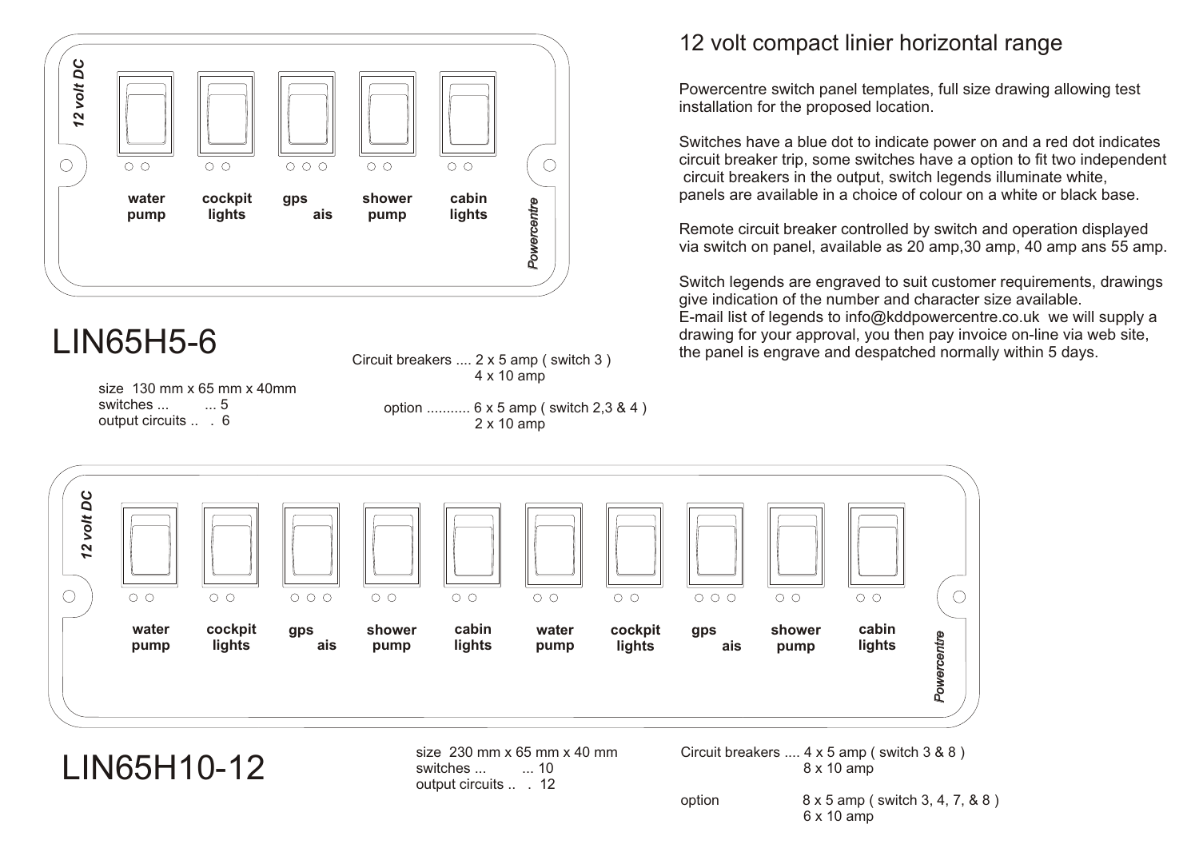

Circuit breakers .... 2 x 5 amp ( switch 3 ) 4 x 10 amp

size 130 mm x 65 mm x 40mm switches ... ... 5 output circuits .. . 6

 option ........... 6 x 5 amp ( switch 2,3 & 4 ) 2 x 10 amp

### 12 volt compact linier horizontal range

Powercentre switch panel templates, full size drawing allowing test installation for the proposed location.

Switches have a blue dot to indicate power on and a red dot indicates circuit breaker trip, some switches have a option to fit two independent circuit breakers in the output, switch legends illuminate white, panels are available in a choice of colour on a white or black base.

Remote circuit breaker controlled by switch and operation displayed via switch on panel, available as 20 amp,30 amp, 40 amp ans 55 amp.

Switch legends are engraved to suit customer requirements, drawings give indication of the number and character size available. E-mail list of legends to info@kddpowercentre.co.uk we will supply a drawing for your approval, you then pay invoice on-line via web site. drawing for your approval, you then pay invoice on-line via we<br>the panel is engrave and despatched normally within 5 days.



LIN65H10-12

size  $230 \text{ mm} \times 65 \text{ mm} \times 40 \text{ mm}$ <br>switches  $10$ switches ... ... 10 output circuits ... 12

Circuit breakers .... 4 x 5 amp ( switch 3 & 8 ) 8 x 10 amp

option 8 x 5 amp ( switch 3, 4, 7, & 8 ) 6 x 10 amp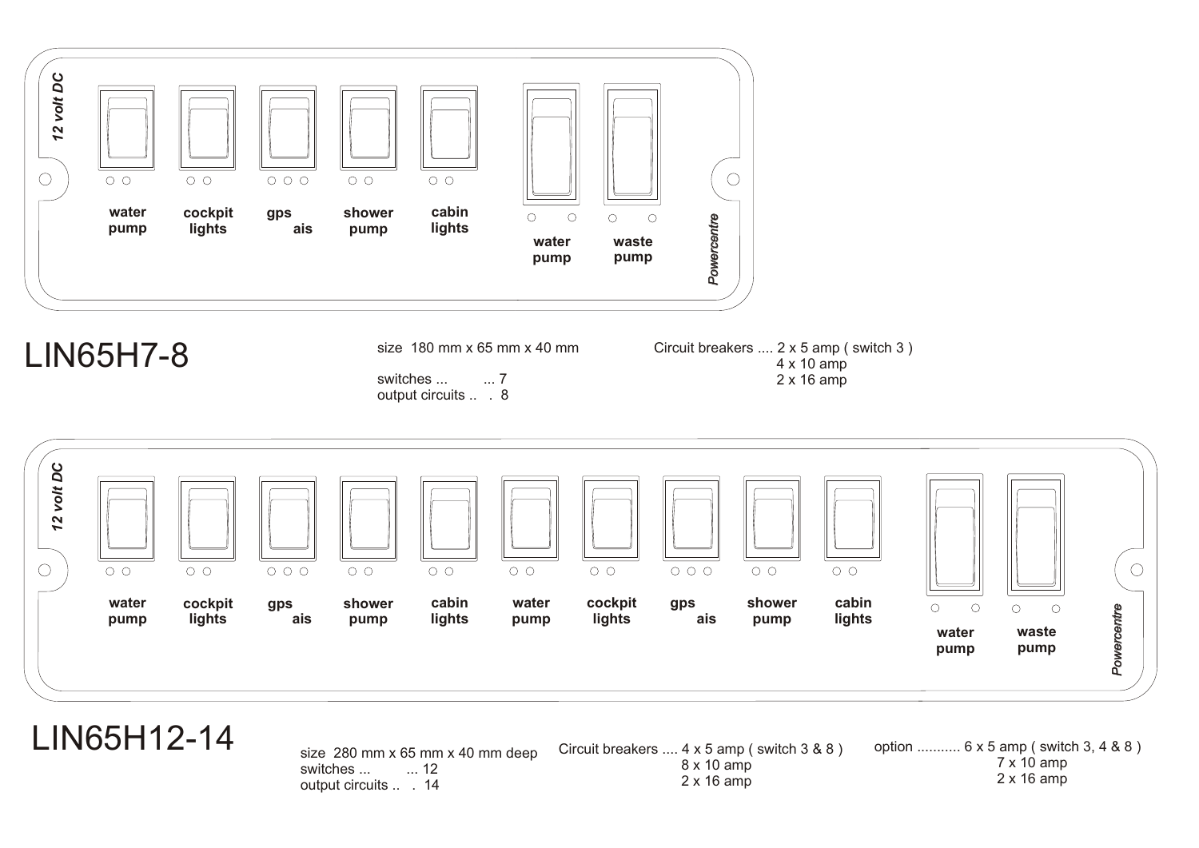

### LIN65H7-8

size 180 mm x 65 mm x 40 mm

switches ... ... 7 output circuits ... 8

Circuit breakers .... 2 x 5 amp ( switch 3 ) 4 x 10 amp 2 x 16 amp



### LIN65H12-14

size 280 mm x 65 mm x 40 mm deep<br>switches ...  $\frac{12}{12}$ switches ... output circuits .. . 14 Circuit breakers .... 4 x 5 amp ( switch 3 & 8 ) 8 x 10 amp 2 x 16 amp option ........... 6 x 5 amp ( switch 3, 4 & 8 ) 7 x 10 amp 2 x 16 amp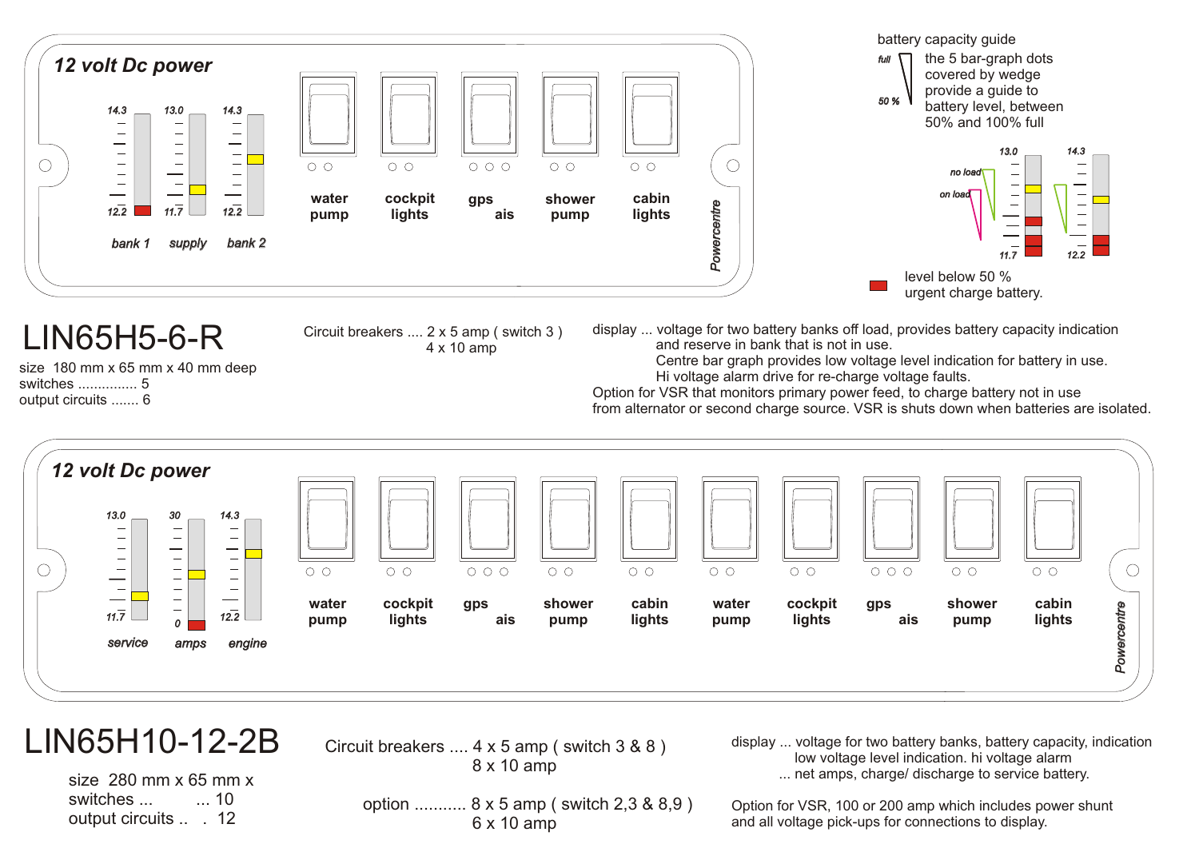

### LIN65H10-12-2B

Circuit breakers .... 4 x 5 amp ( switch 3 & 8 ) 8 x 10 amp

size 280 mm x 65 mm x switches ... .... 10 output circuits .. . 12

 option ........... 8 x 5 amp ( switch 2,3 & 8,9 ) 6 x 10 amp

display ... voltage for two battery banks, battery capacity, indication low voltage level indication. hi voltage alarm ... net amps, charge/ discharge to service battery.

Option for VSR, 100 or 200 amp which includes power shunt and all voltage pick-ups for connections to display.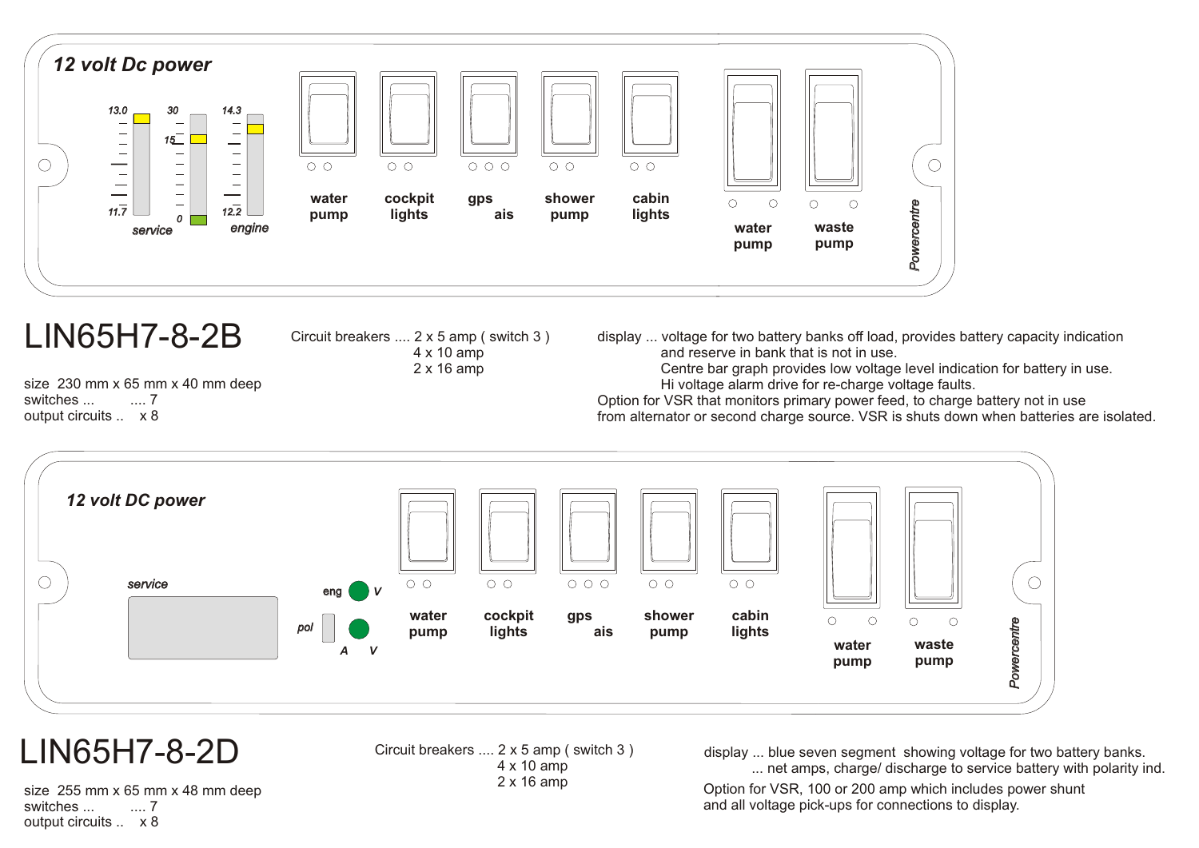

## LIN65H7-8-2B

Circuit breakers .... 2 x 5 amp ( switch 3 ) 4 x 10 amp 2 x 16 amp

size 230 mm x 65 mm x 40 mm deep switches ... ..... 7 output circuits .. x 8

display ... voltage for two battery banks off load, provides battery capacity indication and reserve in bank that is not in use.

 Centre bar graph provides low voltage level indication for battery in use. Hi voltage alarm drive for re-charge voltage faults.

Option for VSR that monitors primary power feed, to charge battery not in use from alternator or second charge source. VSR is shuts down when batteries are isolated.



## LIN65H7-8-2D

Circuit breakers .... 2 x 5 amp ( switch 3 ) 4 x 10 amp 2 x 16 amp

display ... blue seven segment showing voltage for two battery banks. ... net amps, charge/ discharge to service battery with polarity ind.

Option for VSR, 100 or 200 amp which includes power shunt and all voltage pick-ups for connections to display.

size 255 mm x 65 mm x 48 mm deep switches ... .... 7 output circuits .. x 8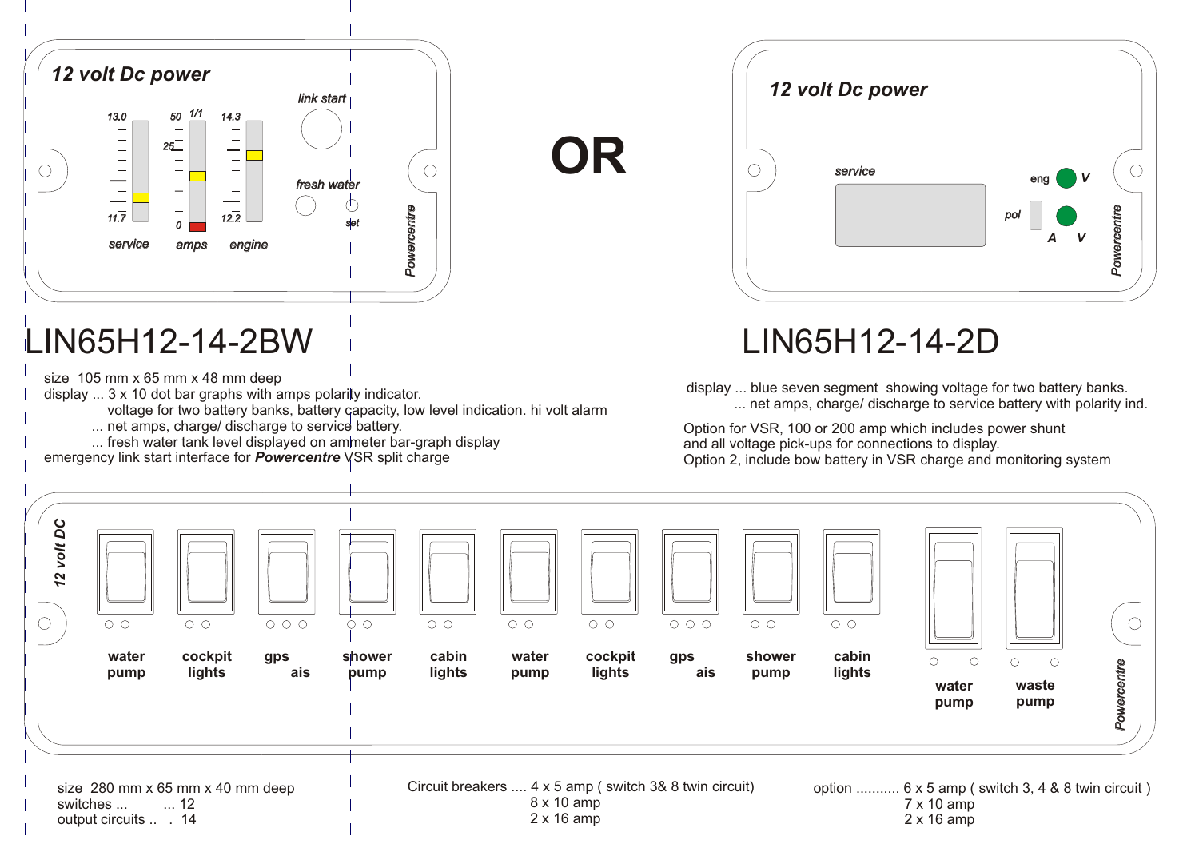

# LIN65H12-14-2BW LIN65H12-14-2D

size 105 mm x 65 mm x 48 mm deep

display ... 3 x 10 dot bar graphs with amps polarity indicator.

voltage for two battery banks, battery capacity, low level indication. hi volt alarm

- ... net amps, charge/ discharge to service battery.
- ... fresh water tank level displayed on ammeter bar-graph display

emergency link start interface for *Powercentre* VSR split charge



display ... blue seven segment showing voltage for two battery banks. ... net amps, charge/ discharge to service battery with polarity ind.

Option for VSR, 100 or 200 amp which includes power shunt and all voltage pick-ups for connections to display. Option 2, include bow battery in VSR charge and monitoring system



**OR**

output circuits .. . 14

2 x 16 amp

2 x 16 amp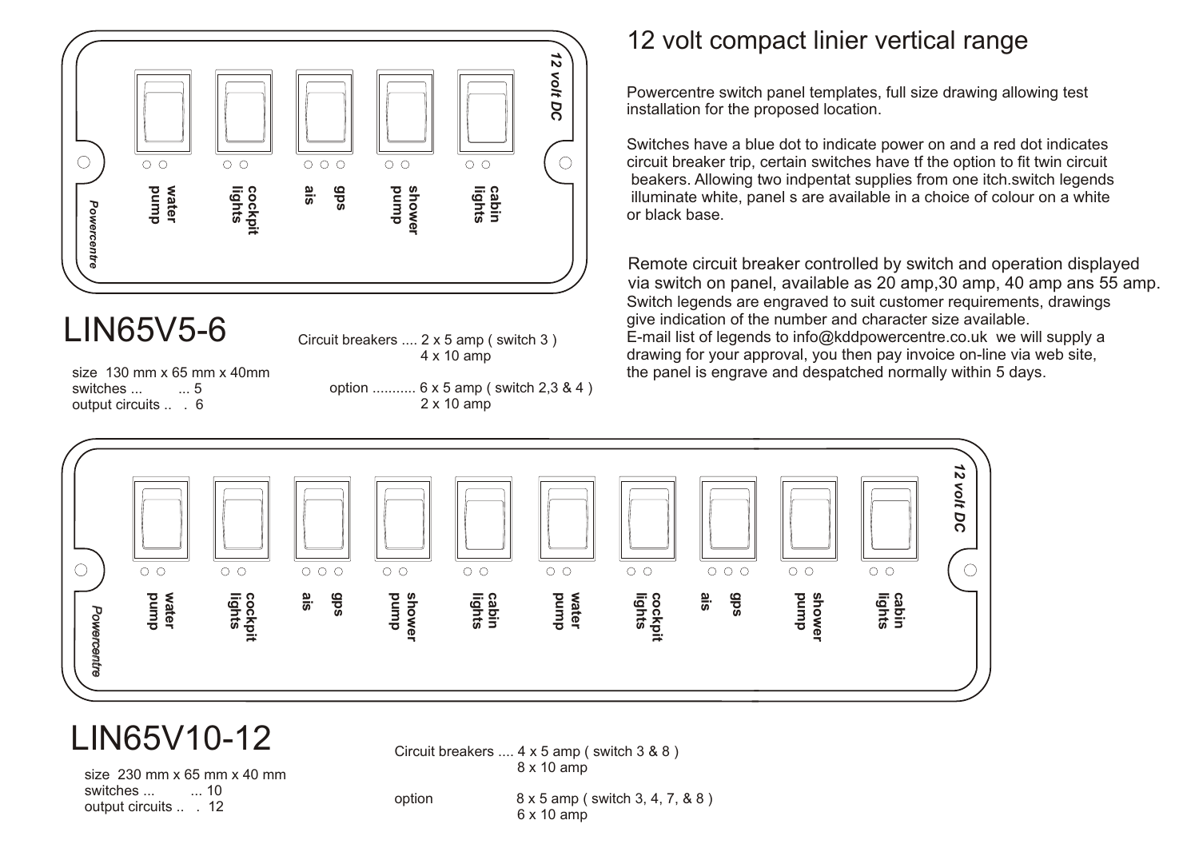

## LIN65V5-6

Circuit breakers .... 2 x 5 amp ( switch 3 ) 4 x 10 amp

switches ... ... 5 output circuits .. . 6

 option ........... 6 x 5 amp ( switch 2,3 & 4 ) 2 x 10 amp

### 12 volt compact linier vertical range

Powercentre switch panel templates, full size drawing allowing test installation for the proposed location.

Switches have a blue dot to indicate power on and a red dot indicates circuit breaker trip, certain switches have tf the option to fit twin circuit beakers. Allowing two indpentat supplies from one itch.switch legends illuminate white, panel s are available in a choice of colour on a white or black base.

Switch legends are engraved to suit customer requirements, drawings give indication of the number and character size available. E-mail list of legends to info@kddpowercentre.co.uk we will supply a drawing for your approval, you then pay invoice on-line via web site, size 130 mm x 65 mm x 40mm the panel is engrave and despatched normally within 5 days. Remote circuit breaker controlled by switch and operation displayed via switch on panel, available as 20 amp,30 amp, 40 amp ans 55 amp.



## LIN65V10-12

size 230 mm x 65 mm x 40 mm switches ... .... 10 output circuits .... 12

Circuit breakers .... 4 x 5 amp ( switch 3 & 8 ) 8 x 10 amp

option 8 x 5 amp ( switch 3, 4, 7, & 8 ) 6 x 10 amp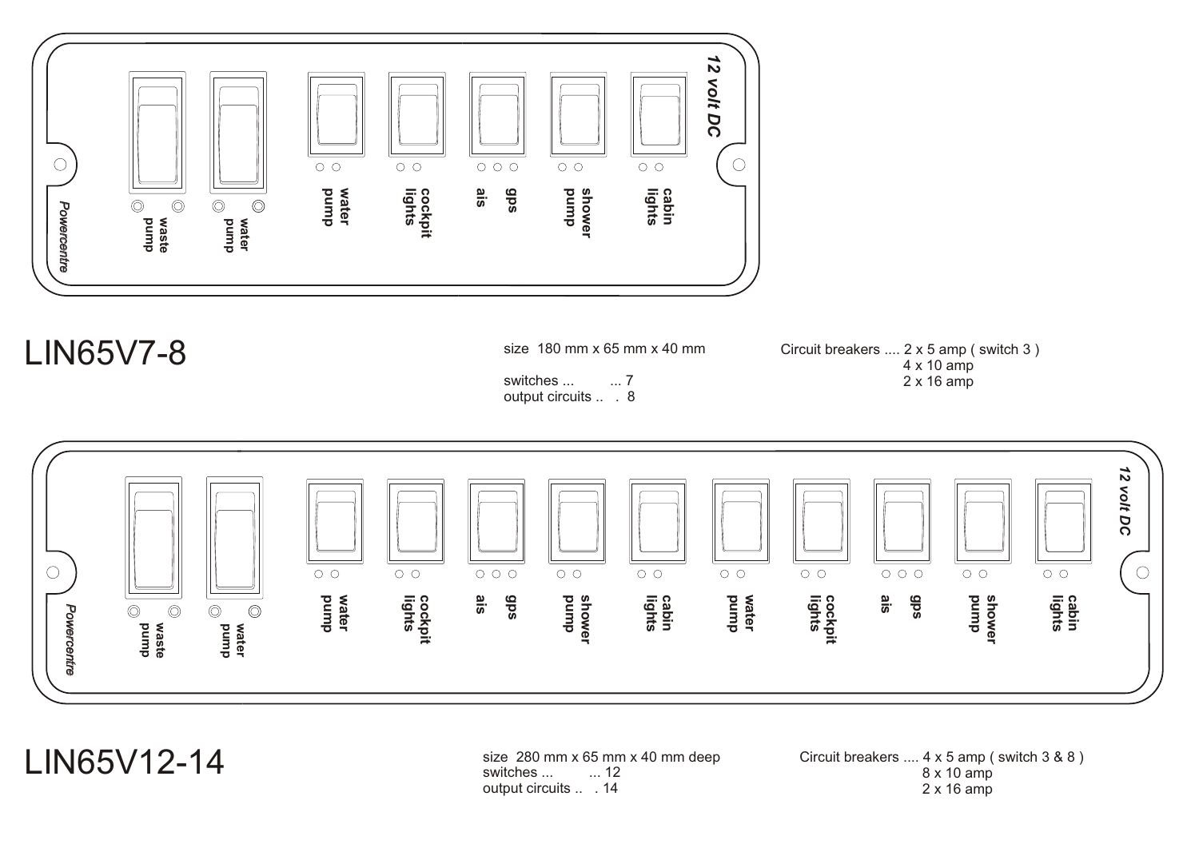

### LIN65V7-8

size 180 mm x 65 mm x 40 mm

switches ... ... 7 output circuits ... 8 Circuit breakers .... 2 x 5 amp ( switch 3 ) 4 x 10 amp 2 x 16 amp



LIN65V12-14

size 280 mm x 65 mm x 40 mm deep<br>switches ...  $\qquad \dots$  12 switches ... output circuits .... 14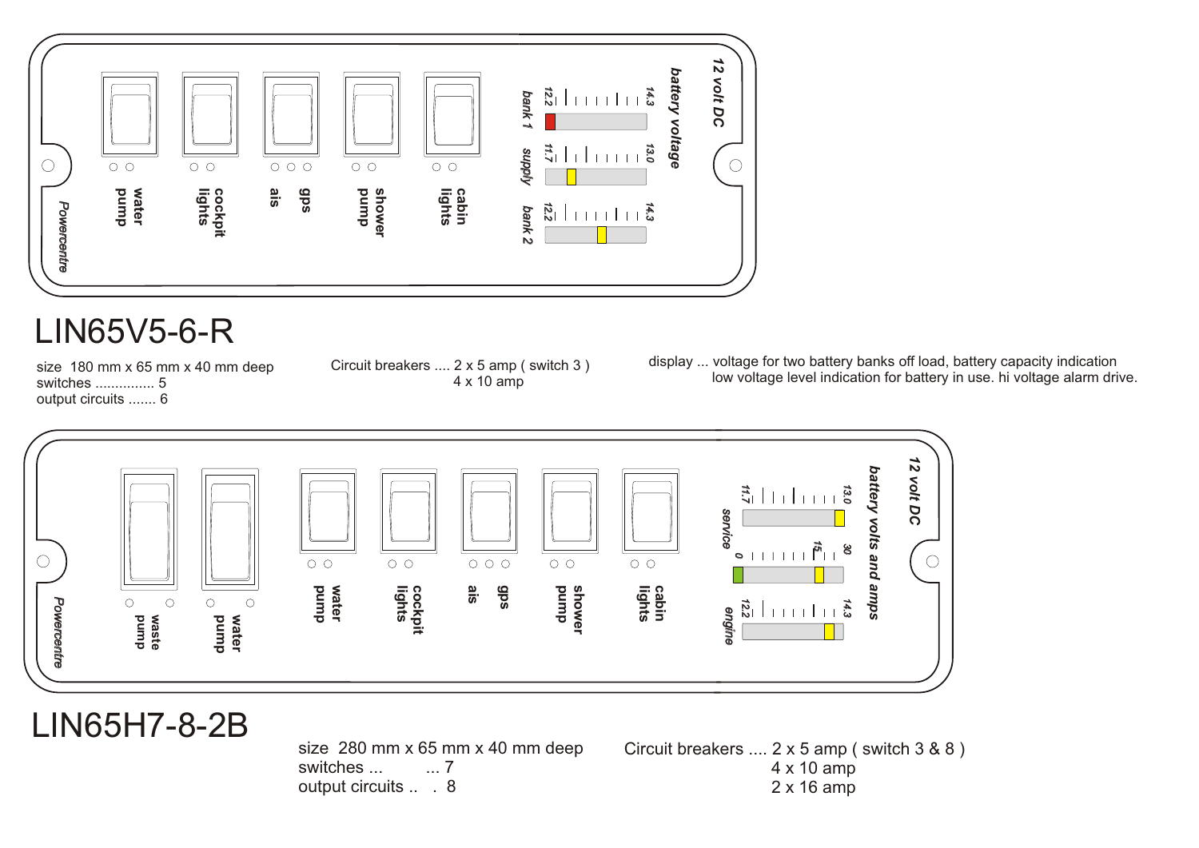

### LIN65V5-6-R

size 180 mm x 65 mm x 40 mm deep switches ............... 5 output circuits ....... 6

Circuit breakers .... 2 x 5 amp ( switch 3 ) 4 x 10 amp

display ... voltage for two battery banks off load, battery capacity indication low voltage level indication for battery in use. hi voltage alarm drive.



### LIN65H7-8-2B

size 280 mm x 65 mm x 40 mm deep<br>switches ...  $\frac{1}{2}$  ... 7 switches ... output circuits .... 8

Circuit breakers .... 2 x 5 amp ( switch 3 & 8 ) 4 x 10 amp 2 x 16 amp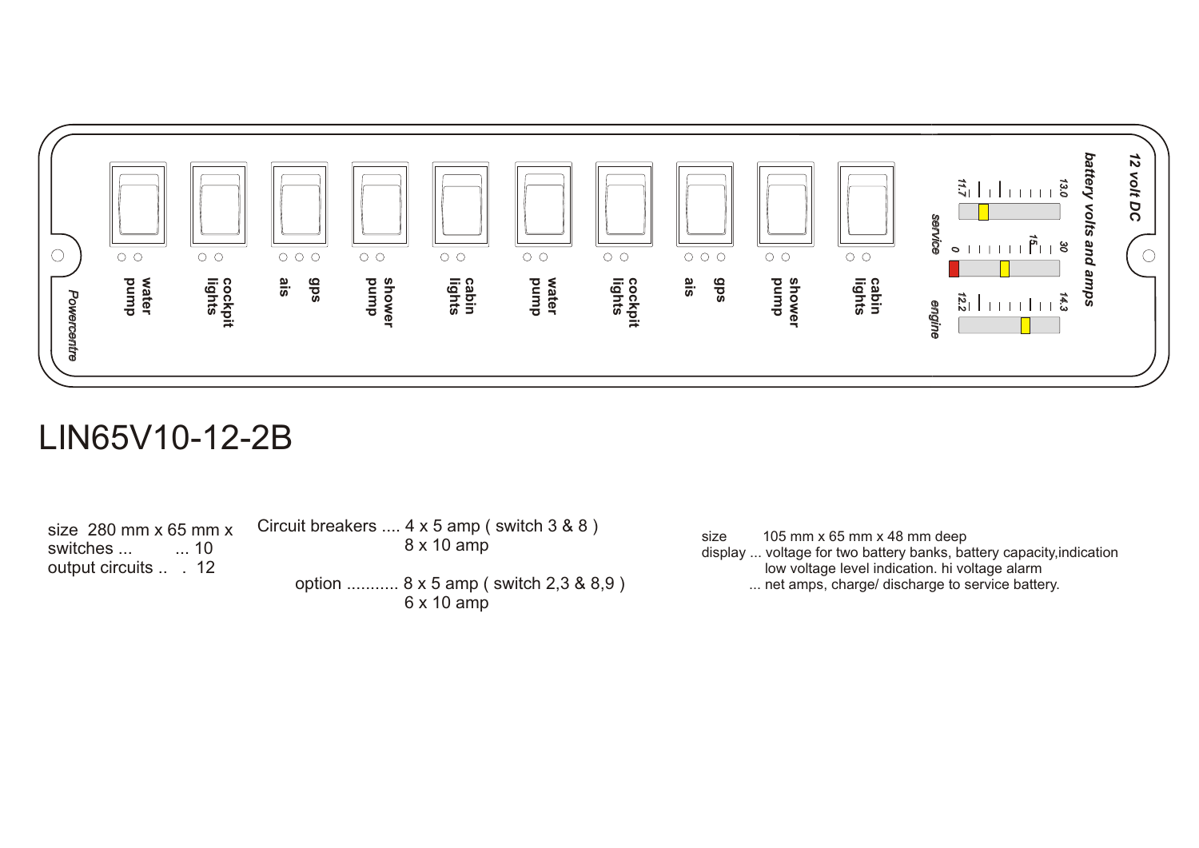

### LIN65V10-12-2B

size  $280$  mm x 65 mm x<br>switches ...  $\qquad \dots$  10 switches ... output circuits ... 12

Circuit breakers .... 4 x 5 amp ( switch 3 & 8 ) 8 x 10 amp option ........... 8 x 5 amp ( switch 2,3 & 8,9 )

6 x 10 amp

size 105 mm x 65 mm x 48 mm deep

display ... voltage for two battery banks, battery capacity,indication low voltage level indication. hi voltage alarm

... net amps, charge/ discharge to service battery.